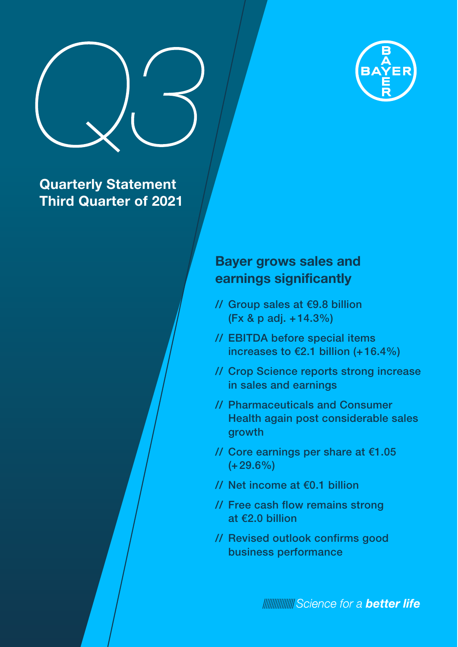

# **Quarterly Statement Third Quarter of 2021**

# **Bayer grows sales and earnings significantly**

Bayer-Geschäftsbericht 2019 A Konzernzwischenlagebericht

- // Group sales at €9.8 billion (Fx & p adj. +14.3%)
- // EBITDA before special items increases to €2.1 billion (+16.4%)
- // Crop Science reports strong increase in sales and earnings
- // Pharmaceuticals and Consumer Health again post considerable sales growth
- // Core earnings per share at €1.05  $(+29.6\%)$
- // Net income at €0.1 billion
- // Free cash flow remains strong at €2.0 billion
- // Revised outlook confirms good business performance

**INNING Science for a better life**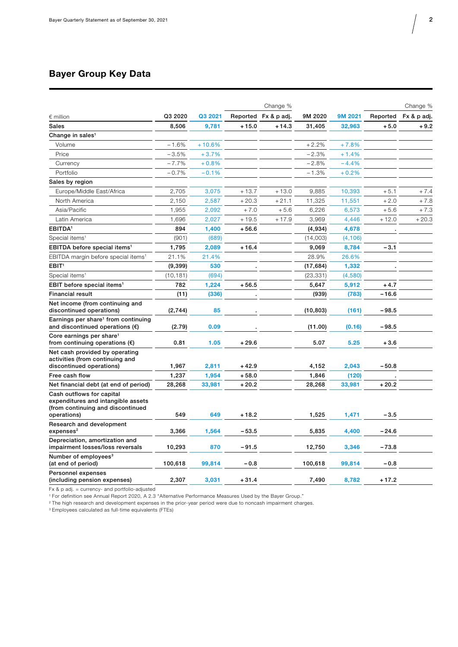## **Bayer Group Key Data**

|                                                                                                                     |           |          |          | Change %    |           |          |          | Change %    |
|---------------------------------------------------------------------------------------------------------------------|-----------|----------|----------|-------------|-----------|----------|----------|-------------|
| $\epsilon$ million                                                                                                  | Q3 2020   | Q3 2021  | Reported | Fx & p adj. | 9M 2020   | 9M 2021  | Reported | Fx & p adj. |
| <b>Sales</b>                                                                                                        | 8,506     | 9,781    | $+15.0$  | $+14.3$     | 31,405    | 32,963   | $+5.0$   | $+9.2$      |
| Change in sales <sup>1</sup>                                                                                        |           |          |          |             |           |          |          |             |
| Volume                                                                                                              | $-1.6%$   | $+10.6%$ |          |             | $+2.2%$   | $+7.8%$  |          |             |
| Price                                                                                                               | $-3.5%$   | $+3.7%$  |          |             | $-2.3%$   | $+1.4%$  |          |             |
| Currency                                                                                                            | $-7.7%$   | $+0.8%$  |          |             | $-2.8%$   | $-4.4%$  |          |             |
| Portfolio                                                                                                           | $-0.7%$   | $-0.1%$  |          |             | $-1.3%$   | $+0.2%$  |          |             |
| Sales by region                                                                                                     |           |          |          |             |           |          |          |             |
| Europe/Middle East/Africa                                                                                           | 2,705     | 3,075    | $+13.7$  | $+13.0$     | 9,885     | 10,393   | $+5.1$   | $+7.4$      |
| North America                                                                                                       | 2,150     | 2,587    | $+20.3$  | $+21.1$     | 11,325    | 11,551   | $+2.0$   | $+7.8$      |
| Asia/Pacific                                                                                                        | 1,955     | 2,092    | $+7.0$   | $+5.6$      | 6,226     | 6,573    | $+5.6$   | $+7.3$      |
| Latin America                                                                                                       | 1,696     | 2,027    | $+19.5$  | $+17.9$     | 3,969     | 4,446    | $+12.0$  | $+20.3$     |
| <b>EBITDA</b> <sup>1</sup>                                                                                          | 894       | 1,400    | $+56.6$  |             | (4,934)   | 4,678    |          |             |
| Special items <sup>1</sup>                                                                                          | (901)     | (689)    |          |             | (14,003)  | (4, 106) |          |             |
| EBITDA before special items <sup>1</sup>                                                                            | 1,795     | 2,089    | $+16.4$  |             | 9,069     | 8,784    | $-3.1$   |             |
| EBITDA margin before special items <sup>1</sup>                                                                     | 21.1%     | 21.4%    |          |             | 28.9%     | 26.6%    |          |             |
| EBIT <sup>1</sup>                                                                                                   | (9, 399)  | 530      |          |             | (17, 684) | 1,332    |          |             |
| Special items <sup>1</sup>                                                                                          | (10, 181) | (694)    |          |             | (23, 331) | (4,580)  |          |             |
| EBIT before special items <sup>1</sup>                                                                              | 782       | 1,224    | $+56.5$  |             | 5,647     | 5,912    | $+4.7$   |             |
| <b>Financial result</b>                                                                                             | (11)      | (336)    |          |             | (939)     | (783)    | $-16.6$  |             |
| Net income (from continuing and<br>discontinued operations)                                                         | (2,744)   | 85       |          |             | (10, 803) | (161)    | $-98.5$  |             |
| Earnings per share <sup>1</sup> from continuing<br>and discontinued operations $(\epsilon)$                         | (2.79)    | 0.09     |          |             | (11.00)   | (0.16)   | $-98.5$  |             |
| Core earnings per share <sup>1</sup><br>from continuing operations $(\epsilon)$                                     | 0.81      | 1.05     | $+29.6$  |             | 5.07      | 5.25     | $+3.6$   |             |
| Net cash provided by operating<br>activities (from continuing and<br>discontinued operations)                       | 1,967     | 2,811    | $+42.9$  |             | 4,152     | 2,043    | $-50.8$  |             |
| Free cash flow                                                                                                      | 1,237     | 1,954    | $+58.0$  |             | 1,846     | (120)    |          |             |
| Net financial debt (at end of period)                                                                               | 28,268    | 33,981   | $+20.2$  |             | 28,268    | 33,981   | $+20.2$  |             |
| Cash outflows for capital<br>expenditures and intangible assets<br>(from continuing and discontinued<br>operations) | 549       | 649      | $+18.2$  |             | 1,525     | 1,471    | $-3.5$   |             |
| Research and development<br>expenses <sup>2</sup>                                                                   | 3,366     | 1,564    | $-53.5$  |             | 5,835     | 4,400    | -24.6    |             |
| Depreciation, amortization and<br>impairment losses/loss reversals                                                  | 10,293    | 870      | $-91.5$  |             | 12,750    | 3,346    | $-73.8$  |             |
| Number of employees <sup>3</sup><br>(at end of period)                                                              | 100,618   | 99,814   | $-0.8$   |             | 100,618   | 99,814   | $-0.8$   |             |
| Personnel expenses<br>(including pension expenses)                                                                  | 2,307     | 3.031    | $+31.4$  |             | 7.490     | 8,782    | $+17.2$  |             |

Fx & p adj. = currency- and portfolio-adjusted

1 For definition see Annual Report 2020, A 2.3 "Alternative Performance Measures Used by the Bayer Group."

2 The high research and development expenses in the prior-year period were due to noncash impairment charges.

3 Employees calculated as full-time equivalents (FTEs)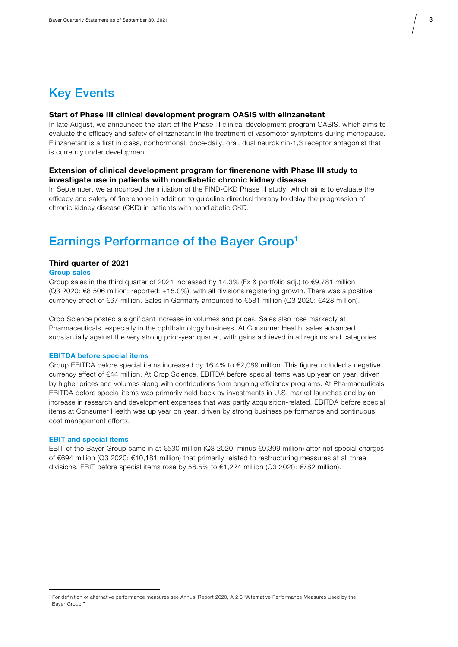# Key Events

## **Start of Phase III clinical development program OASIS with elinzanetant**

In late August, we announced the start of the Phase III clinical development program OASIS, which aims to evaluate the efficacy and safety of elinzanetant in the treatment of vasomotor symptoms during menopause. Elinzanetant is a first in class, nonhormonal, once-daily, oral, dual neurokinin-1,3 receptor antagonist that is currently under development.

## **Extension of clinical development program for finerenone with Phase III study to investigate use in patients with nondiabetic chronic kidney disease**

In September, we announced the initiation of the FIND-CKD Phase III study, which aims to evaluate the efficacy and safety of finerenone in addition to guideline-directed therapy to delay the progression of chronic kidney disease (CKD) in patients with nondiabetic CKD.

## Earnings Performance of the Bayer Group1

### **Third quarter of 2021**

#### **Group sales**

Group sales in the third quarter of 2021 increased by 14.3% (Fx & portfolio adj.) to €9,781 million (Q3 2020: €8,506 million; reported: +15.0%), with all divisions registering growth. There was a positive currency effect of €67 million. Sales in Germany amounted to €581 million (Q3 2020: €428 million).

Crop Science posted a significant increase in volumes and prices. Sales also rose markedly at Pharmaceuticals, especially in the ophthalmology business. At Consumer Health, sales advanced substantially against the very strong prior-year quarter, with gains achieved in all regions and categories.

#### **EBITDA before special items**

Group EBITDA before special items increased by 16.4% to €2,089 million. This figure included a negative currency effect of €44 million. At Crop Science, EBITDA before special items was up year on year, driven by higher prices and volumes along with contributions from ongoing efficiency programs. At Pharmaceuticals, EBITDA before special items was primarily held back by investments in U.S. market launches and by an increase in research and development expenses that was partly acquisition-related. EBITDA before special items at Consumer Health was up year on year, driven by strong business performance and continuous cost management efforts.

#### **EBIT and special items**

EBIT of the Bayer Group came in at €530 million (Q3 2020: minus €9,399 million) after net special charges of €694 million (Q3 2020: €10,181 million) that primarily related to restructuring measures at all three divisions. EBIT before special items rose by 56.5% to €1,224 million (Q3 2020: €782 million).

<sup>1</sup> For definition of alternative performance measures see Annual Report 2020, A 2.3 "Alternative Performance Measures Used by the Bayer Group."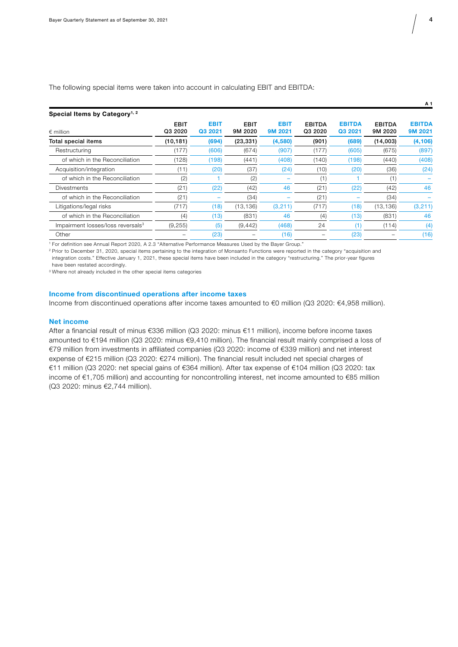The following special items were taken into account in calculating EBIT and EBITDA:

| Special Items by Category <sup>1, 2</sup>     |                        |                        |                        |                        |                          |                          |                          |                          |
|-----------------------------------------------|------------------------|------------------------|------------------------|------------------------|--------------------------|--------------------------|--------------------------|--------------------------|
| $\epsilon$ million                            | <b>EBIT</b><br>Q3 2020 | <b>EBIT</b><br>Q3 2021 | <b>EBIT</b><br>9M 2020 | <b>EBIT</b><br>9M 2021 | <b>EBITDA</b><br>Q3 2020 | <b>EBITDA</b><br>Q3 2021 | <b>EBITDA</b><br>9M 2020 | <b>EBITDA</b><br>9M 2021 |
| Total special items                           | (10, 181)              | (694)                  | (23, 331)              | (4,580)                | (901)                    | (689)                    | (14,003)                 | (4, 106)                 |
| Restructuring                                 | (177)                  | (606)                  | (674)                  | (907)                  | (177)                    | (605)                    | (675)                    | (897)                    |
| of which in the Reconciliation                | (128)                  | (198)                  | (441)                  | (408)                  | (140)                    | (198)                    | (440)                    | (408)                    |
| Acquisition/integration                       | (11)                   | (20)                   | (37)                   | (24)                   | (10)                     | (20)                     | (36)                     | (24)                     |
| of which in the Reconciliation                | (2)                    |                        | (2)                    |                        | (1)                      |                          | (1)                      |                          |
| <b>Divestments</b>                            | (21)                   | (22)                   | (42)                   | 46                     | (21)                     | (22)                     | (42)                     | 46                       |
| of which in the Reconciliation                | (21)                   |                        | (34)                   |                        | (21)                     |                          | (34)                     |                          |
| Litigations/legal risks                       | (717)                  | (18)                   | (13, 136)              | (3,211)                | (717)                    | (18)                     | (13, 136)                | (3,211)                  |
| of which in the Reconciliation                | (4)                    | (13)                   | (831)                  | 46                     | (4)                      | (13)                     | (831)                    | 46                       |
| Impairment losses/loss reversals <sup>3</sup> | (9, 255)               | (5                     | (9, 442)               | (468)                  | 24                       | (1)                      | (114)                    | (4)                      |
| Other                                         |                        | (23)                   |                        | (16)                   |                          | (23)                     |                          | (16)                     |

1 For definition see Annual Report 2020, A 2.3 "Alternative Performance Measures Used by the Bayer Group."

2 Prior to December 31, 2020, special items pertaining to the integration of Monsanto Functions were reported in the category "acquisition and integration costs." Effective January 1, 2021, these special items have been included in the category "restructuring." The prior-year figures have been restated accordingly.

<sup>3</sup> Where not already included in the other special items categories

#### **Income from discontinued operations after income taxes**

Income from discontinued operations after income taxes amounted to €0 million (Q3 2020: €4,958 million).

#### **Net income**

After a financial result of minus €336 million (Q3 2020: minus €11 million), income before income taxes amounted to €194 million (Q3 2020: minus €9,410 million). The financial result mainly comprised a loss of €79 million from investments in affiliated companies (Q3 2020: income of €339 million) and net interest expense of €215 million (Q3 2020: €274 million). The financial result included net special charges of €11 million (Q3 2020: net special gains of €364 million). After tax expense of €104 million (Q3 2020: tax income of €1,705 million) and accounting for noncontrolling interest, net income amounted to €85 million (Q3 2020: minus €2,744 million).

**A 1**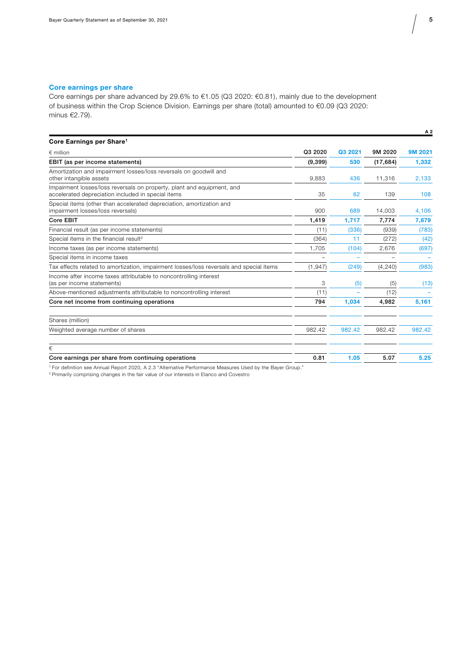## **Core earnings per share**

Core earnings per share advanced by 29.6% to €1.05 (Q3 2020: €0.81), mainly due to the development of business within the Crop Science Division. Earnings per share (total) amounted to €0.09 (Q3 2020: minus €2.79).

|                                                                                                                              |          |         |           | A 2     |
|------------------------------------------------------------------------------------------------------------------------------|----------|---------|-----------|---------|
| Core Earnings per Share <sup>1</sup>                                                                                         |          |         |           |         |
| $\epsilon$ million                                                                                                           | Q3 2020  | Q3 2021 | 9M 2020   | 9M 2021 |
| EBIT (as per income statements)                                                                                              | (9, 399) | 530     | (17, 684) | 1,332   |
| Amortization and impairment losses/loss reversals on goodwill and<br>other intangible assets                                 | 9,883    | 436     | 11.316    | 2,133   |
| Impairment losses/loss reversals on property, plant and equipment, and<br>accelerated depreciation included in special items | 35       | 62      | 139       | 108     |
| Special items (other than accelerated depreciation, amortization and<br>impairment losses/loss reversals)                    | 900      | 689     | 14,003    | 4,106   |
| Core EBIT                                                                                                                    | 1,419    | 1.717   | 7.774     | 7,679   |
| Financial result (as per income statements)                                                                                  | (11)     | (336)   | (939)     | (783)   |
| Special items in the financial result <sup>2</sup>                                                                           | (364)    | 11      | (272)     | (42)    |
| Income taxes (as per income statements)                                                                                      | 1,705    | (104)   | 2,676     | (697)   |
| Special items in income taxes                                                                                                |          |         |           |         |
| Tax effects related to amortization, impairment losses/loss reversals and special items                                      | (1, 947) | (249)   | (4, 240)  | (983)   |
| Income after income taxes attributable to noncontrolling interest<br>(as per income statements)                              | 3        | (5)     | (5)       | (13)    |
| Above-mentioned adjustments attributable to noncontrolling interest                                                          | (11)     |         | (12)      |         |
| Core net income from continuing operations                                                                                   | 794      | 1,034   | 4,982     | 5,161   |
| Shares (million)                                                                                                             |          |         |           |         |
| Weighted average number of shares                                                                                            | 982.42   | 982.42  | 982.42    | 982.42  |
| €                                                                                                                            |          |         |           |         |
| Core earnings per share from continuing operations                                                                           | 0.81     | 1.05    | 5.07      | 5.25    |

1 For definition see Annual Report 2020, A 2.3 "Alternative Performance Measures Used by the Bayer Group."

2 Primarily comprising changes in the fair value of our interests in Elanco and Covestro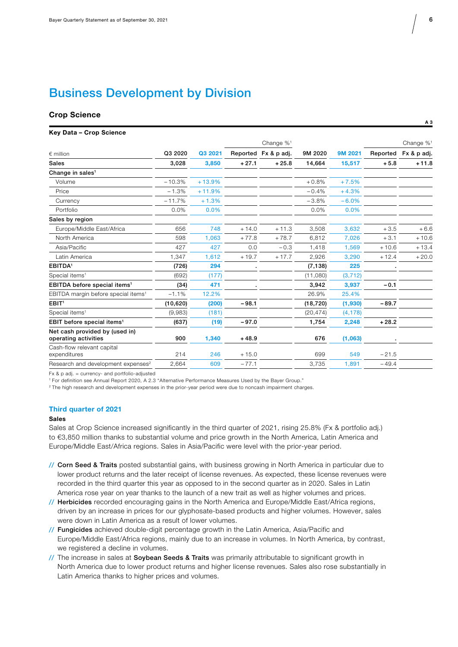# Business Development by Division

# **Crop Science** A 3 **3**  $\overline{AB}$

#### **Key Data – Crop Science**

|                                                        |           |          |         | Change $\%$ <sup>1</sup> |           |          |          | Change $\%$ <sup>1</sup> |
|--------------------------------------------------------|-----------|----------|---------|--------------------------|-----------|----------|----------|--------------------------|
| $\epsilon$ million                                     | Q3 2020   | Q3 2021  |         | Reported Fx & p adj.     | 9M 2020   | 9M 2021  | Reported | Fx & p adj.              |
| <b>Sales</b>                                           | 3,028     | 3,850    | $+27.1$ | $+25.8$                  | 14,664    | 15,517   | $+5.8$   | $+11.8$                  |
| Change in sales <sup>1</sup>                           |           |          |         |                          |           |          |          |                          |
| Volume                                                 | $-10.3%$  | $+13.9%$ |         |                          | $+0.8%$   | $+7.5%$  |          |                          |
| Price                                                  | $-1.3%$   | $+11.9%$ |         |                          | $-0.4%$   | $+4.3%$  |          |                          |
| Currency                                               | $-11.7%$  | $+1.3%$  |         |                          | $-3.8%$   | $-6.0%$  |          |                          |
| Portfolio                                              | 0.0%      | 0.0%     |         |                          | 0.0%      | 0.0%     |          |                          |
| Sales by region                                        |           |          |         |                          |           |          |          |                          |
| Europe/Middle East/Africa                              | 656       | 748      | $+14.0$ | $+11.3$                  | 3,508     | 3,632    | $+3.5$   | $+6.6$                   |
| North America                                          | 598       | 1,063    | $+77.8$ | $+78.7$                  | 6,812     | 7,026    | $+3.1$   | $+10.6$                  |
| Asia/Pacific                                           | 427       | 427      | 0.0     | $-0.3$                   | 1,418     | 1,569    | $+10.6$  | $+13.4$                  |
| Latin America                                          | 1,347     | 1,612    | $+19.7$ | $+17.7$                  | 2,926     | 3,290    | $+12.4$  | $+20.0$                  |
| EBITDA <sup>1</sup>                                    | (726)     | 294      |         |                          | (7, 138)  | 225      |          |                          |
| Special items <sup>1</sup>                             | (692)     | (177)    |         |                          | (11,080)  | (3, 712) |          |                          |
| EBITDA before special items <sup>1</sup>               | (34)      | 471      |         |                          | 3,942     | 3,937    | $-0.1$   |                          |
| EBITDA margin before special items <sup>1</sup>        | $-1.1%$   | 12.2%    |         |                          | 26.9%     | 25.4%    |          |                          |
| EBIT <sup>1</sup>                                      | (10, 620) | (200)    | $-98.1$ |                          | (18, 720) | (1,930)  | $-89.7$  |                          |
| Special items <sup>1</sup>                             | (9,983)   | (181)    |         |                          | (20, 474) | (4, 178) |          |                          |
| EBIT before special items <sup>1</sup>                 | (637)     | (19)     | $-97.0$ |                          | 1,754     | 2,248    | $+28.2$  |                          |
| Net cash provided by (used in)<br>operating activities | 900       | 1,340    | $+48.9$ |                          | 676       | (1,063)  |          |                          |
| Cash-flow relevant capital<br>expenditures             | 214       | 246      | $+15.0$ |                          | 699       | 549      | $-21.5$  |                          |
| Research and development expenses <sup>2</sup>         | 2,664     | 609      | $-77.1$ |                          | 3,735     | 1,891    | $-49.4$  |                          |

Fx & p adj. = currency- and portfolio-adjusted

1 For definition see Annual Report 2020, A 2.3 "Alternative Performance Measures Used by the Bayer Group."

2 The high research and development expenses in the prior-year period were due to noncash impairment charges.

#### **Third quarter of 2021**

### **Sales**

Sales at Crop Science increased significantly in the third quarter of 2021, rising 25.8% (Fx & portfolio adj.) to €3,850 million thanks to substantial volume and price growth in the North America, Latin America and Europe/Middle East/Africa regions. Sales in Asia/Pacific were level with the prior-year period.

- // Corn Seed & Traits posted substantial gains, with business growing in North America in particular due to lower product returns and the later receipt of license revenues. As expected, these license revenues were recorded in the third quarter this year as opposed to in the second quarter as in 2020. Sales in Latin America rose year on year thanks to the launch of a new trait as well as higher volumes and prices.
- // Herbicides recorded encouraging gains in the North America and Europe/Middle East/Africa regions, driven by an increase in prices for our glyphosate-based products and higher volumes. However, sales were down in Latin America as a result of lower volumes.
- // Fungicides achieved double-digit percentage growth in the Latin America, Asia/Pacific and Europe/Middle East/Africa regions, mainly due to an increase in volumes. In North America, by contrast, we registered a decline in volumes.
- // The increase in sales at Soybean Seeds & Traits was primarily attributable to significant growth in North America due to lower product returns and higher license revenues. Sales also rose substantially in Latin America thanks to higher prices and volumes.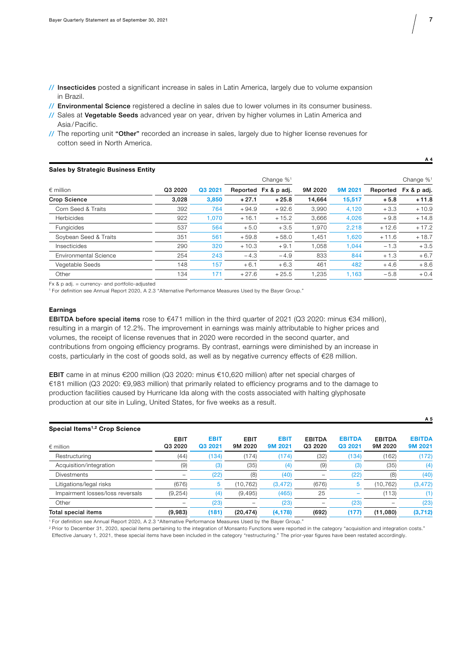- // Insecticides posted a significant increase in sales in Latin America, largely due to volume expansion in Brazil.
- // Environmental Science registered a decline in sales due to lower volumes in its consumer business.
- // Sales at Vegetable Seeds advanced year on year, driven by higher volumes in Latin America and Asia /Pacific.
- // The reporting unit "Other" recorded an increase in sales, largely due to higher license revenues for cotton seed in North America.

| <b>Sales by Strategic Business Entity</b> |         |         |         |                          |         |         |          |                          |
|-------------------------------------------|---------|---------|---------|--------------------------|---------|---------|----------|--------------------------|
|                                           |         |         |         | Change $\%$ <sup>1</sup> |         |         |          | Change $\%$ <sup>1</sup> |
| $\epsilon$ million                        | Q3 2020 | Q3 2021 |         | Reported Fx & p adj.     | 9M 2020 | 9M 2021 | Reported | Fx & p adj.              |
| <b>Crop Science</b>                       | 3,028   | 3,850   | $+27.1$ | $+25.8$                  | 14.664  | 15,517  | $+5.8$   | $+11.8$                  |
| Corn Seed & Traits                        | 392     | 764     | $+94.9$ | $+92.6$                  | 3,990   | 4,120   | $+3.3$   | $+10.9$                  |
| <b>Herbicides</b>                         | 922     | 1.070   | $+16.1$ | $+15.2$                  | 3,666   | 4,026   | $+9.8$   | $+14.8$                  |
| Fungicides                                | 537     | 564     | $+5.0$  | $+3.5$                   | 1,970   | 2,218   | $+12.6$  | $+17.2$                  |
| Sovbean Seed & Traits                     | 351     | 561     | $+59.8$ | $+58.0$                  | 1,451   | 1,620   | $+11.6$  | $+18.7$                  |
| Insecticides                              | 290     | 320     | $+10.3$ | $+9.1$                   | 1,058   | 1.044   | $-1.3$   | $+3.5$                   |
| Environmental Science                     | 254     | 243     | $-4.3$  | $-4.9$                   | 833     | 844     | $+1.3$   | $+6.7$                   |
| Vegetable Seeds                           | 148     | 157     | $+6.1$  | $+6.3$                   | 461     | 482     | $+4.6$   | $+8.6$                   |
| Other                                     | 134     | 171     | $+27.6$ | $+25.5$                  | 1.235   | 1.163   | $-5.8$   | $+0.4$                   |

Fx & p adj. = currency- and portfolio-adjusted

1 For definition see Annual Report 2020, A 2.3 "Alternative Performance Measures Used by the Bayer Group."

#### **Earnings**

EBITDA before special items rose to €471 million in the third quarter of 2021 (Q3 2020: minus €34 million), resulting in a margin of 12.2%. The improvement in earnings was mainly attributable to higher prices and volumes, the receipt of license revenues that in 2020 were recorded in the second quarter, and contributions from ongoing efficiency programs. By contrast, earnings were diminished by an increase in costs, particularly in the cost of goods sold, as well as by negative currency effects of €28 million.

EBIT came in at minus €200 million (Q3 2020: minus €10,620 million) after net special charges of €181 million (Q3 2020: €9,983 million) that primarily related to efficiency programs and to the damage to production facilities caused by Hurricane Ida along with the costs associated with halting glyphosate production at our site in Luling, United States, for five weeks as a result.

| Special Items <sup>1,2</sup> Crop Science |                        |                        |                        |                        |                          |                          |                          | <b>. .</b>               |
|-------------------------------------------|------------------------|------------------------|------------------------|------------------------|--------------------------|--------------------------|--------------------------|--------------------------|
| $∈$ million                               | <b>EBIT</b><br>Q3 2020 | <b>EBIT</b><br>Q3 2021 | <b>EBIT</b><br>9M 2020 | <b>EBIT</b><br>9M 2021 | <b>EBITDA</b><br>Q3 2020 | <b>EBITDA</b><br>Q3 2021 | <b>EBITDA</b><br>9M 2020 | <b>EBITDA</b><br>9M 2021 |
| Restructuring                             | (44)                   | (134)                  | (174)                  | (174)                  | (32)                     | (134)                    | (162)                    | (172)                    |
| Acquisition/integration                   | (9)                    | (3)                    | (35)                   | (4)                    | (9)                      | (3)                      | (35)                     | (4)                      |
| <b>Divestments</b>                        | $\qquad \qquad -$      | (22)                   | (8)                    | (40)                   |                          | (22)                     | (8)                      | (40)                     |
| Litigations/legal risks                   | (676)                  | 5                      | (10,762)               | (3, 472)               | (676)                    | 5                        | (10, 762)                | (3, 472)                 |
| Impairment losses/loss reversals          | (9, 254)               | (4)                    | (9, 495)               | (465)                  | 25                       |                          | (113)                    |                          |
| Other                                     | -                      | (23)                   |                        | (23)                   | $\overline{\phantom{0}}$ | (23)                     |                          | (23)                     |
| Total special items                       | (9,983)                | (181)                  | (20, 474)              | (4, 178)               | (692)                    | (177)                    | (11,080)                 | (3, 712)                 |

1 For definition see Annual Report 2020, A 2.3 "Alternative Performance Measures Used by the Bayer Group."

<sup>2</sup> Prior to December 31, 2020, special items pertaining to the integration of Monsanto Functions were reported in the category "acquisition and integration costs." Effective January 1, 2021, these special items have been included in the category "restructuring." The prior-year figures have been restated accordingly.

**A 4** 

 $\lambda$   $\alpha$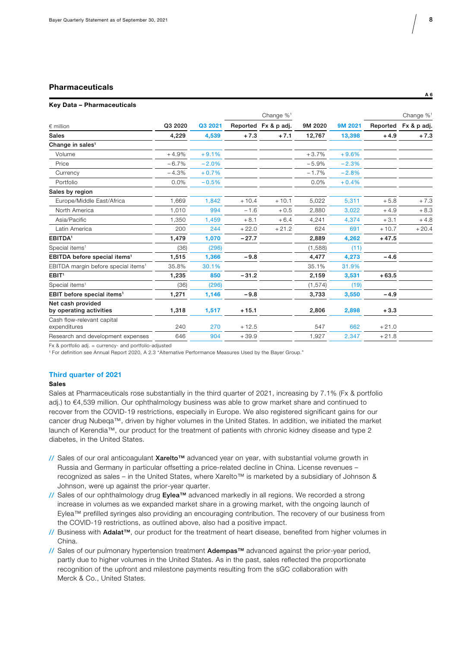## **Pharmaceuticals**

#### **Key Data – Pharmaceuticals**

|                                                 |         |         |         | Change % <sup>1</sup> |          |         |          | Change $\%$ <sup>1</sup> |
|-------------------------------------------------|---------|---------|---------|-----------------------|----------|---------|----------|--------------------------|
| $\epsilon$ million                              | Q3 2020 | Q3 2021 |         | Reported Fx & p adj.  | 9M 2020  | 9M 2021 | Reported | Fx & p adj.              |
| <b>Sales</b>                                    | 4,229   | 4,539   | $+7.3$  | $+7.1$                | 12,767   | 13,398  | $+4.9$   | $+7.3$                   |
| Change in sales <sup>1</sup>                    |         |         |         |                       |          |         |          |                          |
| Volume                                          | $+4.9%$ | $+9.1%$ |         |                       | $+3.7%$  | $+9.6%$ |          |                          |
| Price                                           | $-6.7%$ | $-2.0%$ |         |                       | $-5.9%$  | $-2.3%$ |          |                          |
| Currency                                        | $-4.3%$ | $+0.7%$ |         |                       | $-1.7%$  | $-2.8%$ |          |                          |
| Portfolio                                       | 0.0%    | $-0.5%$ |         |                       | 0.0%     | $+0.4%$ |          |                          |
| Sales by region                                 |         |         |         |                       |          |         |          |                          |
| Europe/Middle East/Africa                       | 1,669   | 1.842   | $+10.4$ | $+10.1$               | 5,022    | 5,311   | $+5.8$   | $+7.3$                   |
| North America                                   | 1,010   | 994     | $-1.6$  | $+0.5$                | 2,880    | 3,022   | $+4.9$   | $+8.3$                   |
| Asia/Pacific                                    | 1.350   | 1,459   | $+8.1$  | $+6.4$                | 4,241    | 4,374   | $+3.1$   | $+4.8$                   |
| Latin America                                   | 200     | 244     | $+22.0$ | $+21.2$               | 624      | 691     | $+10.7$  | $+20.4$                  |
| <b>EBITDA</b> <sup>1</sup>                      | 1,479   | 1,070   | $-27.7$ |                       | 2,889    | 4,262   | $+47.5$  |                          |
| Special items <sup>1</sup>                      | (36)    | (296)   |         |                       | (1,588)  | (11)    |          |                          |
| EBITDA before special items <sup>1</sup>        | 1,515   | 1,366   | $-9.8$  |                       | 4,477    | 4,273   | $-4.6$   |                          |
| EBITDA margin before special items <sup>1</sup> | 35.8%   | 30.1%   |         |                       | 35.1%    | 31.9%   |          |                          |
| EBIT <sup>1</sup>                               | 1,235   | 850     | $-31.2$ |                       | 2,159    | 3,531   | $+63.5$  |                          |
| Special items <sup>1</sup>                      | (36)    | (296)   |         |                       | (1, 574) | (19)    |          |                          |
| EBIT before special items <sup>1</sup>          | 1,271   | 1,146   | $-9.8$  |                       | 3,733    | 3,550   | $-4.9$   |                          |
| Net cash provided<br>by operating activities    | 1,318   | 1,517   | $+15.1$ |                       | 2,806    | 2,898   | $+3.3$   |                          |
| Cash flow-relevant capital<br>expenditures      | 240     | 270     | $+12.5$ |                       | 547      | 662     | $+21.0$  |                          |
| Research and development expenses               | 646     | 904     | $+39.9$ |                       | 1,927    | 2,347   | $+21.8$  |                          |
|                                                 |         |         |         |                       |          |         |          |                          |

Fx & portfolio adj. = currency- and portfolio-adjusted

1 For definition see Annual Report 2020, A 2.3 "Alternative Performance Measures Used by the Bayer Group."

#### **Third quarter of 2021**

## **Sales**

Sales at Pharmaceuticals rose substantially in the third quarter of 2021, increasing by 7.1% (Fx & portfolio adj.) to €4,539 million. Our ophthalmology business was able to grow market share and continued to recover from the COVID-19 restrictions, especially in Europe. We also registered significant gains for our cancer drug Nubeqa™, driven by higher volumes in the United States. In addition, we initiated the market launch of Kerendia™, our product for the treatment of patients with chronic kidney disease and type 2 diabetes, in the United States.

- // Sales of our oral anticoagulant Xarelto™ advanced year on year, with substantial volume growth in Russia and Germany in particular offsetting a price-related decline in China. License revenues – recognized as sales – in the United States, where Xarelto™ is marketed by a subsidiary of Johnson & Johnson, were up against the prior-year quarter.
- // Sales of our ophthalmology drug Eylea™ advanced markedly in all regions. We recorded a strong increase in volumes as we expanded market share in a growing market, with the ongoing launch of Eylea™ prefilled syringes also providing an encouraging contribution. The recovery of our business from the COVID-19 restrictions, as outlined above, also had a positive impact.
- // Business with Adalat™, our product for the treatment of heart disease, benefited from higher volumes in China.
- // Sales of our pulmonary hypertension treatment Adempas™ advanced against the prior-year period, partly due to higher volumes in the United States. As in the past, sales reflected the proportionate recognition of the upfront and milestone payments resulting from the sGC collaboration with Merck & Co., United States.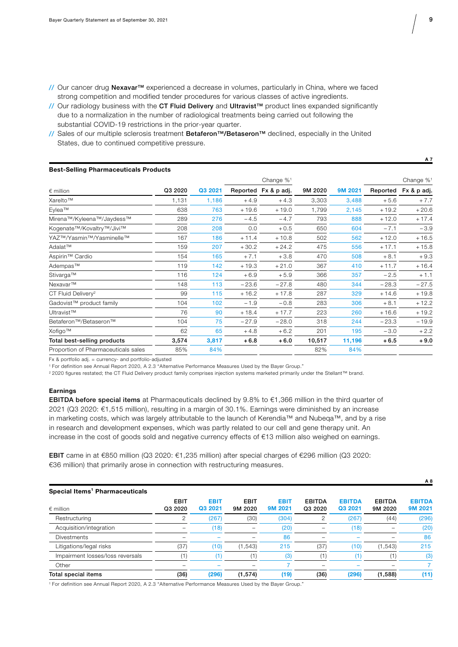- // Our cancer drug Nexavar™ experienced a decrease in volumes, particularly in China, where we faced strong competition and modified tender procedures for various classes of active ingredients.
- // Our radiology business with the CT Fluid Delivery and Ultravist™ product lines expanded significantly due to a normalization in the number of radiological treatments being carried out following the substantial COVID-19 restrictions in the prior-year quarter.
- // Sales of our multiple sclerosis treatment Betaferon™/Betaseron™ declined, especially in the United States, due to continued competitive pressure.

| <b>Best-Selling Pharmaceuticals Products</b> |         |         |         |                       |         |         |          |                          |
|----------------------------------------------|---------|---------|---------|-----------------------|---------|---------|----------|--------------------------|
|                                              |         |         |         | Change % <sup>1</sup> |         |         |          | Change $\%$ <sup>1</sup> |
| $\epsilon$ million                           | Q3 2020 | Q3 2021 |         | Reported Fx & p adj.  | 9M 2020 | 9M 2021 | Reported | Fx & p adj.              |
| Xarelto™                                     | 1,131   | 1,186   | $+4.9$  | $+4.3$                | 3,303   | 3,488   | $+5.6$   | $+7.7$                   |
| Eylea™                                       | 638     | 763     | $+19.6$ | $+19.0$               | 1,799   | 2,145   | $+19.2$  | $+20.6$                  |
| Mirena™/Kyleena™/Jaydess™                    | 289     | 276     | $-4.5$  | $-4.7$                | 793     | 888     | $+12.0$  | $+17.4$                  |
| Kogenate <sup>™</sup> /Kovaltry™/Jivi™       | 208     | 208     | 0.0     | $+0.5$                | 650     | 604     | $-7.1$   | $-3.9$                   |
| YAZ™/Yasmin™/Yasminelle™                     | 167     | 186     | $+11.4$ | $+10.8$               | 502     | 562     | $+12.0$  | $+16.5$                  |
| Adalat™                                      | 159     | 207     | $+30.2$ | $+24.2$               | 475     | 556     | $+17.1$  | $+15.8$                  |
| Aspirin <sup>™</sup> Cardio                  | 154     | 165     | $+7.1$  | $+3.8$                | 470     | 508     | $+8.1$   | $+9.3$                   |
| Adempas™                                     | 119     | 142     | $+19.3$ | $+21.0$               | 367     | 410     | $+11.7$  | $+16.4$                  |
| Stivarga™                                    | 116     | 124     | $+6.9$  | $+5.9$                | 366     | 357     | $-2.5$   | $+1.1$                   |
| Nexavar™                                     | 148     | 113     | $-23.6$ | $-27.8$               | 480     | 344     | $-28.3$  | $-27.5$                  |
| CT Fluid Delivery <sup>2</sup>               | 99      | 115     | $+16.2$ | $+17.8$               | 287     | 329     | $+14.6$  | $+19.8$                  |
| Gadovist™ product family                     | 104     | 102     | $-1.9$  | $-0.8$                | 283     | 306     | $+8.1$   | $+12.2$                  |
| Ultravist™                                   | 76      | 90      | $+18.4$ | $+17.7$               | 223     | 260     | $+16.6$  | $+19.2$                  |
| Betaferon <sup>™</sup> /Betaseron™           | 104     | 75      | $-27.9$ | $-28.0$               | 318     | 244     | $-23.3$  | $-19.9$                  |
| Xofigo™                                      | 62      | 65      | $+4.8$  | $+6.2$                | 201     | 195     | $-3.0$   | $+2.2$                   |
| Total best-selling products                  | 3,574   | 3,817   | $+6.8$  | $+6.0$                | 10,517  | 11,196  | $+6.5$   | $+9.0$                   |
| Proportion of Pharmaceuticals sales          | 85%     | 84%     |         |                       | 82%     | 84%     |          |                          |

Fx & portfolio adj. = currency- and portfolio-adjusted

1 For definition see Annual Report 2020, A 2.3 "Alternative Performance Measures Used by the Bayer Group."

2 2020 figures restated; the CT Fluid Delivery product family comprises injection systems marketed primarily under the Stellant™ brand.

#### **Earnings**

EBITDA before special items at Pharmaceuticals declined by 9.8% to €1,366 million in the third quarter of 2021 (Q3 2020: €1,515 million), resulting in a margin of 30.1%. Earnings were diminished by an increase in marketing costs, which was largely attributable to the launch of Kerendia™ and Nubeqa™, and by a rise in research and development expenses, which was partly related to our cell and gene therapy unit. An increase in the cost of goods sold and negative currency effects of €13 million also weighed on earnings.

EBIT came in at €850 million (Q3 2020: €1,235 million) after special charges of €296 million (Q3 2020: €36 million) that primarily arose in connection with restructuring measures.

| Special Items <sup>1</sup> Pharmaceuticals |                        |                        |                        |                        |                          |                          |                          |                          |
|--------------------------------------------|------------------------|------------------------|------------------------|------------------------|--------------------------|--------------------------|--------------------------|--------------------------|
| $\epsilon$ million                         | <b>EBIT</b><br>Q3 2020 | <b>EBIT</b><br>Q3 2021 | <b>EBIT</b><br>9M 2020 | <b>EBIT</b><br>9M 2021 | <b>EBITDA</b><br>Q3 2020 | <b>EBITDA</b><br>Q3 2021 | <b>EBITDA</b><br>9M 2020 | <b>EBITDA</b><br>9M 2021 |
| Restructuring                              | 2                      | (267)                  | (30)                   | (304)                  | ŋ                        | (267)                    | (44)                     | (296)                    |
| Acquisition/integration                    |                        | (18)                   |                        | (20)                   |                          | (18)                     |                          | (20)                     |
| <b>Divestments</b>                         |                        |                        |                        | 86                     |                          |                          |                          | 86                       |
| Litigations/legal risks                    | (37)                   | (10)                   | (1, 543)               | 215                    | (37)                     | (10)                     | (1, 543)                 | 215                      |
| Impairment losses/loss reversals           | (1)                    |                        |                        | (3)                    |                          | 1                        |                          | (3)                      |
| Other                                      | -                      |                        |                        |                        |                          |                          |                          |                          |
| Total special items                        | (36)                   | (296)                  | (1, 574)               | (19)                   | (36)                     | (296)                    | (1,588)                  | (11)                     |

1 For definition see Annual Report 2020, A 2.3 "Alternative Performance Measures Used by the Bayer Group."

**A 7**

**A 8**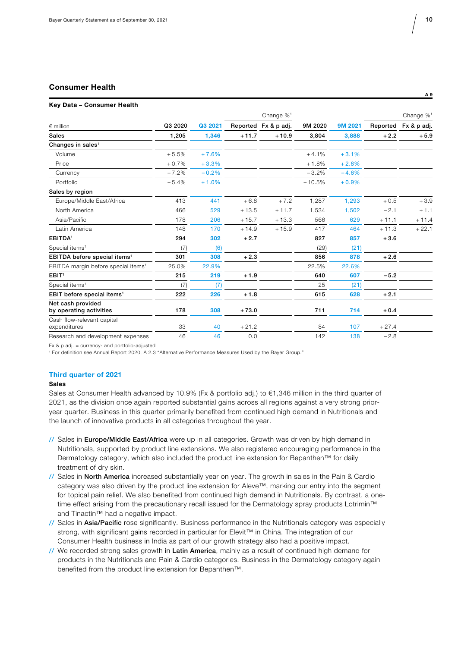# **Consumer Health A 9**

#### **Key Data – Consumer Health**

|                                                 |         |         |         | Change $\%$ <sup>1</sup> |          |         |          | Change % <sup>1</sup> |
|-------------------------------------------------|---------|---------|---------|--------------------------|----------|---------|----------|-----------------------|
| $\epsilon$ million                              | Q3 2020 | Q3 2021 |         | Reported Fx & p adj.     | 9M 2020  | 9M 2021 | Reported | Fx & p adj.           |
| <b>Sales</b>                                    | 1,205   | 1,346   | $+11.7$ | $+10.9$                  | 3,804    | 3,888   | $+2.2$   | $+5.9$                |
| Changes in sales <sup>1</sup>                   |         |         |         |                          |          |         |          |                       |
| Volume                                          | $+5.5%$ | $+7.6%$ |         |                          | $+4.1%$  | $+3.1%$ |          |                       |
| Price                                           | $+0.7%$ | $+3.3%$ |         |                          | $+1.8%$  | $+2.8%$ |          |                       |
| Currency                                        | $-7.2%$ | $-0.2%$ |         |                          | $-3.2%$  | $-4.6%$ |          |                       |
| Portfolio                                       | $-5.4%$ | $+1.0%$ |         |                          | $-10.5%$ | $+0.9%$ |          |                       |
| Sales by region                                 |         |         |         |                          |          |         |          |                       |
| Europe/Middle East/Africa                       | 413     | 441     | $+6.8$  | $+7.2$                   | 1,287    | 1,293   | $+0.5$   | $+3.9$                |
| North America                                   | 466     | 529     | $+13.5$ | $+11.7$                  | 1,534    | 1,502   | $-2.1$   | $+1.1$                |
| Asia/Pacific                                    | 178     | 206     | $+15.7$ | $+13.3$                  | 566      | 629     | $+11.1$  | $+11.4$               |
| Latin America                                   | 148     | 170     | $+14.9$ | $+15.9$                  | 417      | 464     | $+11.3$  | $+22.1$               |
| <b>EBITDA</b> <sup>1</sup>                      | 294     | 302     | $+2.7$  |                          | 827      | 857     | $+3.6$   |                       |
| Special items <sup>1</sup>                      | (7)     | (6)     |         |                          | (29)     | (21)    |          |                       |
| EBITDA before special items <sup>1</sup>        | 301     | 308     | $+2.3$  |                          | 856      | 878     | $+2.6$   |                       |
| EBITDA margin before special items <sup>1</sup> | 25.0%   | 22.9%   |         |                          | 22.5%    | 22.6%   |          |                       |
| EBIT <sup>1</sup>                               | 215     | 219     | $+1.9$  |                          | 640      | 607     | $-5.2$   |                       |
| Special items <sup>1</sup>                      | (7)     | (7)     |         |                          | 25       | (21)    |          |                       |
| EBIT before special items <sup>1</sup>          | 222     | 226     | $+1.8$  |                          | 615      | 628     | $+2.1$   |                       |
| Net cash provided<br>by operating activities    | 178     | 308     | $+73.0$ |                          | 711      | 714     | $+0.4$   |                       |
| Cash flow-relevant capital<br>expenditures      | 33      | 40      | $+21.2$ |                          | 84       | 107     | $+27.4$  |                       |
| Research and development expenses               | 46      | 46      | 0.0     |                          | 142      | 138     | $-2.8$   |                       |
|                                                 |         |         |         |                          |          |         |          |                       |

 $Fx$  & p adj. = currency- and portfolio-adjusted

1 For definition see Annual Report 2020, A 2.3 "Alternative Performance Measures Used by the Bayer Group."

#### **Third quarter of 2021**

## **Sales**

Sales at Consumer Health advanced by 10.9% (Fx & portfolio adj.) to €1,346 million in the third quarter of 2021, as the division once again reported substantial gains across all regions against a very strong prioryear quarter. Business in this quarter primarily benefited from continued high demand in Nutritionals and the launch of innovative products in all categories throughout the year.

- // Sales in Europe/Middle East/Africa were up in all categories. Growth was driven by high demand in Nutritionals, supported by product line extensions. We also registered encouraging performance in the Dermatology category, which also included the product line extension for Bepanthen™ for daily treatment of dry skin.
- // Sales in North America increased substantially year on year. The growth in sales in the Pain & Cardio category was also driven by the product line extension for Aleve™, marking our entry into the segment for topical pain relief. We also benefited from continued high demand in Nutritionals. By contrast, a onetime effect arising from the precautionary recall issued for the Dermatology spray products Lotrimin™ and Tinactin™ had a negative impact.
- // Sales in Asia/Pacific rose significantly. Business performance in the Nutritionals category was especially strong, with significant gains recorded in particular for Elevit™ in China. The integration of our Consumer Health business in India as part of our growth strategy also had a positive impact.
- // We recorded strong sales growth in Latin America, mainly as a result of continued high demand for products in the Nutritionals and Pain & Cardio categories. Business in the Dermatology category again benefited from the product line extension for Bepanthen™.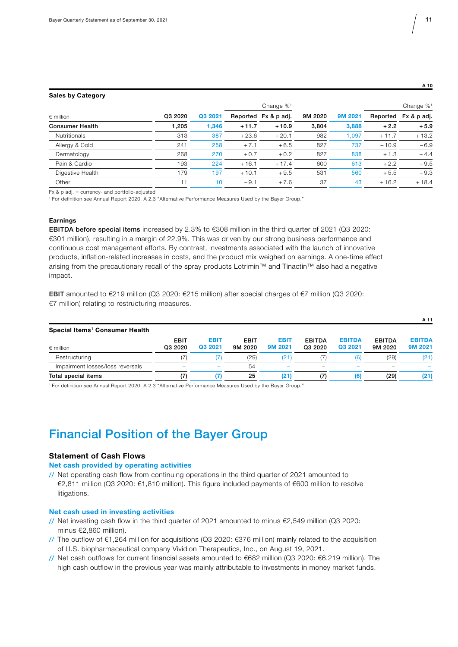**A 10** 

**A 11** 

#### **Sales by Category**

|                        |         |         |         | Change $\%$ <sup>1</sup>        |         |          |             | Change $\%$ <sup>1</sup> |
|------------------------|---------|---------|---------|---------------------------------|---------|----------|-------------|--------------------------|
| $\epsilon$ million     | Q3 2020 | Q3 2021 |         | 9M 2020<br>Reported Fx & p adj. | 9M 2021 | Reported | Fx & p adj. |                          |
| <b>Consumer Health</b> | 1.205   | 1.346   | $+11.7$ | $+10.9$                         | 3.804   | 3,888    | $+2.2$      | $+5.9$                   |
| <b>Nutritionals</b>    | 313     | 387     | $+23.6$ | $+20.1$                         | 982     | 1.097    | $+11.7$     | $+13.2$                  |
| Allergy & Cold         | 241     | 258     | $+7.1$  | $+6.5$                          | 827     | 737      | $-10.9$     | $-6.9$                   |
| Dermatology            | 268     | 270     | $+0.7$  | $+0.2$                          | 827     | 838      | $+1.3$      | $+4.4$                   |
| Pain & Cardio          | 193     | 224     | $+16.1$ | $+17.4$                         | 600     | 613      | $+2.2$      | $+9.5$                   |
| Digestive Health       | 179     | 197     | $+10.1$ | $+9.5$                          | 531     | 560      | $+5.5$      | $+9.3$                   |
| Other                  |         | 10      | $-9.1$  | $+7.6$                          | 37      | 43       | $+16.2$     | $+18.4$                  |

Fx & p adj. = currency- and portfolio-adjusted

1 For definition see Annual Report 2020, A 2.3 "Alternative Performance Measures Used by the Bayer Group."

#### **Earnings**

**EBITDA before special items** increased by 2.3% to €308 million in the third quarter of 2021 (Q3 2020: €301 million), resulting in a margin of 22.9%. This was driven by our strong business performance and continuous cost management efforts. By contrast, investments associated with the launch of innovative products, inflation-related increases in costs, and the product mix weighed on earnings. A one-time effect arising from the precautionary recall of the spray products Lotrimin™ and Tinactin™ also had a negative impact.

EBIT amounted to €219 million (Q3 2020: €215 million) after special charges of €7 million (Q3 2020: €7 million) relating to restructuring measures.

| Special Items <sup>1</sup> Consumer Health |                          |                        |                 |                        |                          |                          |                          |                          |
|--------------------------------------------|--------------------------|------------------------|-----------------|------------------------|--------------------------|--------------------------|--------------------------|--------------------------|
| $\epsilon$ million                         | <b>EBIT</b><br>Q3 2020   | <b>EBIT</b><br>Q3 2021 | EBIT<br>9M 2020 | <b>EBIT</b><br>9M 2021 | <b>EBITDA</b><br>Q3 2020 | <b>EBITDA</b><br>Q3 2021 | <b>EBITDA</b><br>9M 2020 | <b>EBITDA</b><br>9M 2021 |
| Restructuring                              |                          |                        | (29)            | (21                    |                          | (6)                      | (29)                     | (21)                     |
| Impairment losses/loss reversals           | $\overline{\phantom{0}}$ |                        | 54              |                        | $\overline{\phantom{0}}$ |                          |                          |                          |
| Total special items                        | (7)                      |                        | 25              | (21)                   | (7)                      | (6)                      | (29)                     | (21)                     |

1 For definition see Annual Report 2020, A 2.3 "Alternative Performance Measures Used by the Bayer Group."

# Financial Position of the Bayer Group

## **Statement of Cash Flows**

### **Net cash provided by operating activities**

// Net operating cash flow from continuing operations in the third quarter of 2021 amounted to €2,811 million (Q3 2020: €1,810 million). This figure included payments of €600 million to resolve litigations.

## **Net cash used in investing activities**

- // Net investing cash flow in the third quarter of 2021 amounted to minus €2,549 million (Q3 2020: minus €2,860 million).
- // The outflow of €1,264 million for acquisitions (Q3 2020: €376 million) mainly related to the acquisition of U.S. biopharmaceutical company Vividion Therapeutics, Inc., on August 19, 2021.
- // Net cash outflows for current financial assets amounted to €682 million (Q3 2020: €6,219 million). The high cash outflow in the previous year was mainly attributable to investments in money market funds.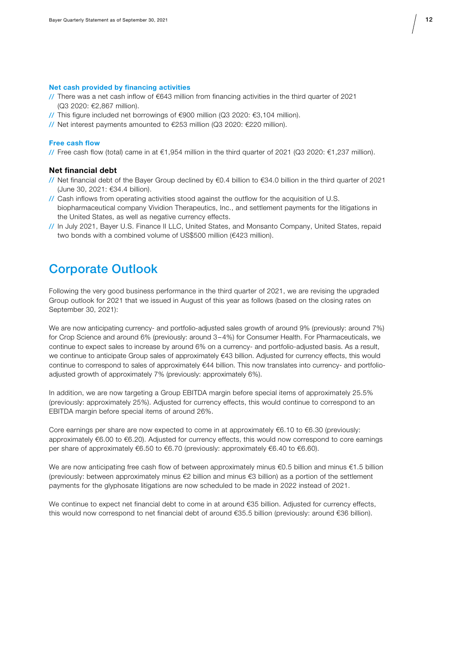#### **Net cash provided by financing activities**

- // There was a net cash inflow of €643 million from financing activities in the third quarter of 2021 (Q3 2020: €2,867 million).
- // This figure included net borrowings of  $\epsilon$ 900 million (Q3 2020:  $\epsilon$ 3,104 million).
- // Net interest payments amounted to €253 million (Q3 2020: €220 million).

## **Free cash flow**

// Free cash flow (total) came in at €1,954 million in the third quarter of 2021 (Q3 2020: €1,237 million).

### **Net financial debt**

- // Net financial debt of the Bayer Group declined by €0.4 billion to €34.0 billion in the third quarter of 2021 (June 30, 2021: €34.4 billion).
- // Cash inflows from operating activities stood against the outflow for the acquisition of U.S. biopharmaceutical company Vividion Therapeutics, Inc., and settlement payments for the litigations in the United States, as well as negative currency effects.
- // In July 2021, Bayer U.S. Finance II LLC, United States, and Monsanto Company, United States, repaid two bonds with a combined volume of US\$500 million (€423 million).

## Corporate Outlook

Following the very good business performance in the third quarter of 2021, we are revising the upgraded Group outlook for 2021 that we issued in August of this year as follows (based on the closing rates on September 30, 2021):

We are now anticipating currency- and portfolio-adjusted sales growth of around 9% (previously: around 7%) for Crop Science and around 6% (previously: around 3–4%) for Consumer Health. For Pharmaceuticals, we continue to expect sales to increase by around 6% on a currency- and portfolio-adjusted basis. As a result, we continue to anticipate Group sales of approximately €43 billion. Adjusted for currency effects, this would continue to correspond to sales of approximately €44 billion. This now translates into currency- and portfolioadjusted growth of approximately 7% (previously: approximately 6%).

In addition, we are now targeting a Group EBITDA margin before special items of approximately 25.5% (previously: approximately 25%). Adjusted for currency effects, this would continue to correspond to an EBITDA margin before special items of around 26%.

Core earnings per share are now expected to come in at approximately  $€6.10$  to  $€6.30$  (previously: approximately €6.00 to €6.20). Adjusted for currency effects, this would now correspond to core earnings per share of approximately €6.50 to €6.70 (previously: approximately €6.40 to €6.60).

We are now anticipating free cash flow of between approximately minus  $\epsilon$ 0.5 billion and minus  $\epsilon$ 1.5 billion (previously: between approximately minus €2 billion and minus €3 billion) as a portion of the settlement payments for the glyphosate litigations are now scheduled to be made in 2022 instead of 2021.

We continue to expect net financial debt to come in at around €35 billion. Adjusted for currency effects, this would now correspond to net financial debt of around €35.5 billion (previously: around €36 billion).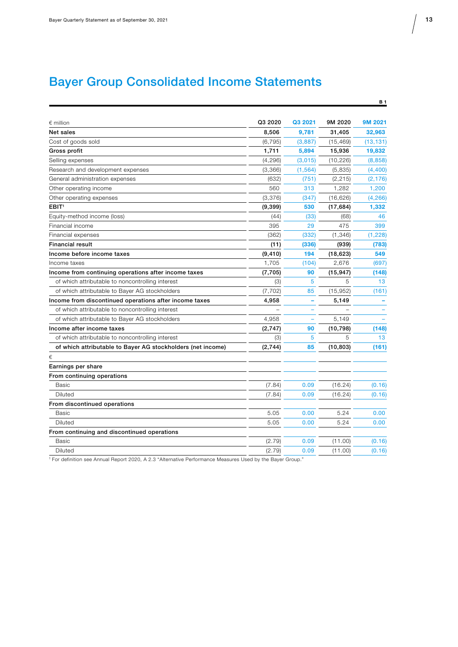# Bayer Group Consolidated Income Statements

| $\epsilon$ million                                          | Q3 2020  | Q3 2021  | 9M 2020   | 9M 2021   |
|-------------------------------------------------------------|----------|----------|-----------|-----------|
| Net sales                                                   | 8.506    | 9,781    | 31,405    | 32,963    |
| Cost of goods sold                                          | (6, 795) | (3,887)  | (15, 469) | (13, 131) |
| Gross profit                                                | 1,711    | 5,894    | 15,936    | 19,832    |
| Selling expenses                                            | (4, 296) | (3,015)  | (10, 226) | (8, 858)  |
| Research and development expenses                           | (3,366)  | (1, 564) | (5,835)   | (4,400)   |
| General administration expenses                             | (632)    | (751)    | (2, 215)  | (2, 176)  |
| Other operating income                                      | 560      | 313      | 1,282     | 1,200     |
| Other operating expenses                                    | (3,376)  | (347)    | (16, 626) | (4, 266)  |
| EBIT <sup>1</sup>                                           | (9, 399) | 530      | (17, 684) | 1,332     |
| Equity-method income (loss)                                 | (44)     | (33)     | (68)      | 46        |
| Financial income                                            | 395      | 29       | 475       | 399       |
| Financial expenses                                          | (362)    | (332)    | (1, 346)  | (1,228)   |
| <b>Financial result</b>                                     | (11)     | (336)    | (939)     | (783)     |
| Income before income taxes                                  | (9, 410) | 194      | (18, 623) | 549       |
| Income taxes                                                | 1,705    | (104)    | 2,676     | (697)     |
| Income from continuing operations after income taxes        | (7,705)  | 90       | (15, 947) | (148)     |
| of which attributable to noncontrolling interest            | (3)      | 5        | 5         | 13        |
| of which attributable to Bayer AG stockholders              | (7, 702) | 85       | (15, 952) | (161)     |
| Income from discontinued operations after income taxes      | 4,958    | ۰        | 5,149     |           |
| of which attributable to noncontrolling interest            |          |          |           |           |
| of which attributable to Bayer AG stockholders              | 4,958    | ÷,       | 5,149     |           |
| Income after income taxes                                   | (2,747)  | 90       | (10, 798) | (148)     |
| of which attributable to noncontrolling interest            | (3)      | 5        | 5         | 13        |
| of which attributable to Bayer AG stockholders (net income) | (2,744)  | 85       | (10, 803) | (161)     |
| €                                                           |          |          |           |           |
| Earnings per share                                          |          |          |           |           |
| From continuing operations                                  |          |          |           |           |
| <b>Basic</b>                                                | (7.84)   | 0.09     | (16.24)   | (0.16)    |
| <b>Diluted</b>                                              | (7.84)   | 0.09     | (16.24)   | (0.16)    |
| From discontinued operations                                |          |          |           |           |
| <b>Basic</b>                                                | 5.05     | 0.00     | 5.24      | 0.00      |
| Diluted                                                     | 5.05     | 0.00     | 5.24      | 0.00      |
| From continuing and discontinued operations                 |          |          |           |           |
| Basic                                                       | (2.79)   | 0.09     | (11.00)   | (0.16)    |
| Diluted                                                     | (2.79)   | 0.09     | (11.00)   | (0.16)    |

1 For definition see Annual Report 2020, A 2.3 "Alternative Performance Measures Used by the Bayer Group."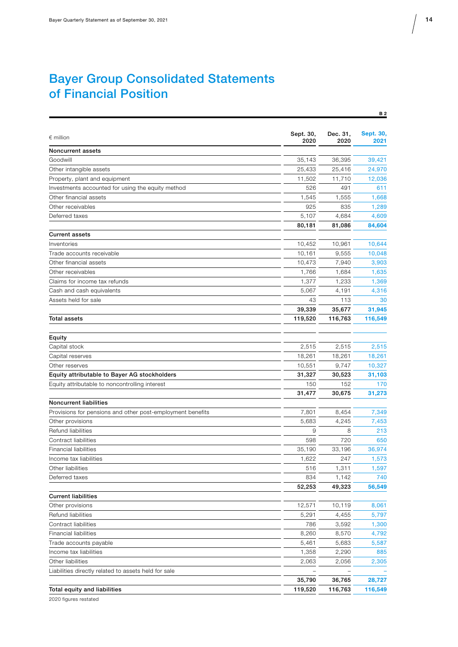# Bayer Group Consolidated Statements of Financial Position

| $\epsilon$ million                                         | Sept. 30,<br>2020 | Dec. 31,<br>2020 | <b>Sept. 30,</b><br>2021 |
|------------------------------------------------------------|-------------------|------------------|--------------------------|
| Noncurrent assets                                          |                   |                  |                          |
| Goodwill                                                   | 35,143            | 36,395           | 39,421                   |
| Other intangible assets                                    | 25,433            | 25,416           | 24,970                   |
| Property, plant and equipment                              | 11,502            | 11,710           | 12,036                   |
| Investments accounted for using the equity method          | 526               | 491              | 611                      |
| Other financial assets                                     | 1,545             | 1,555            | 1,668                    |
| Other receivables                                          | 925               | 835              | 1,289                    |
| Deferred taxes                                             | 5,107             | 4,684            | 4,609                    |
|                                                            | 80,181            | 81,086           | 84,604                   |
| <b>Current assets</b>                                      |                   |                  |                          |
| Inventories                                                | 10,452            | 10,961           | 10,644                   |
| Trade accounts receivable                                  | 10,161            | 9,555            | 10,048                   |
| Other financial assets                                     | 10,473            | 7,940            | 3,903                    |
| Other receivables                                          | 1,766             | 1,684            | 1,635                    |
| Claims for income tax refunds                              | 1,377             | 1,233            | 1,369                    |
| Cash and cash equivalents                                  | 5,067             | 4,191            | 4,316                    |
| Assets held for sale                                       | 43                | 113              | 30                       |
|                                                            | 39,339            | 35,677           | 31,945                   |
| <b>Total assets</b>                                        | 119,520           | 116,763          | 116,549                  |
|                                                            |                   |                  |                          |
| Equity                                                     |                   |                  |                          |
| Capital stock                                              | 2,515             | 2,515            | 2,515                    |
| Capital reserves                                           | 18,261            | 18,261           | 18,261                   |
| Other reserves                                             | 10,551            | 9,747            | 10,327                   |
| Equity attributable to Bayer AG stockholders               | 31,327            | 30,523           | 31,103                   |
| Equity attributable to noncontrolling interest             | 150               | 152              | 170                      |
|                                                            | 31,477            | 30,675           | 31,273                   |
| <b>Noncurrent liabilities</b>                              |                   |                  |                          |
| Provisions for pensions and other post-employment benefits | 7,801             | 8,454            | 7,349                    |
| Other provisions                                           | 5,683             | 4,245            | 7,453                    |
| Refund liabilities                                         | 9                 | 8                | 213                      |
| Contract liabilities                                       | 598               | 720              | 650                      |
| <b>Financial liabilities</b>                               | 35,190            | 33,196           | 36,974                   |
| Income tax liabilities                                     | 1,622             | 247              | 1,573                    |
| Other liabilities                                          | 516               | 1,311            | 1,597                    |
| Deferred taxes                                             | 834               | 1,142            | 740                      |
|                                                            | 52,253            | 49,323           | 56,549                   |
| <b>Current liabilities</b>                                 |                   |                  |                          |
| Other provisions                                           | 12,571            | 10,119           | 8,061                    |
| Refund liabilities                                         | 5,291             | 4,455            | 5,797                    |
| Contract liabilities                                       | 786               | 3,592            | 1,300                    |
| <b>Financial liabilities</b>                               | 8,260             | 8,570            | 4,792                    |
| Trade accounts payable                                     | 5,461             | 5,683            | 5,587                    |
| Income tax liabilities                                     | 1,358             | 2,290            | 885                      |
| Other liabilities                                          | 2,063             | 2,056            | 2,305                    |
| Liabilities directly related to assets held for sale       |                   |                  |                          |
|                                                            | 35,790            | 36,765           | 28,727                   |
| Total equity and liabilities                               | 119,520           | 116,763          | 116,549                  |

2020 figures restated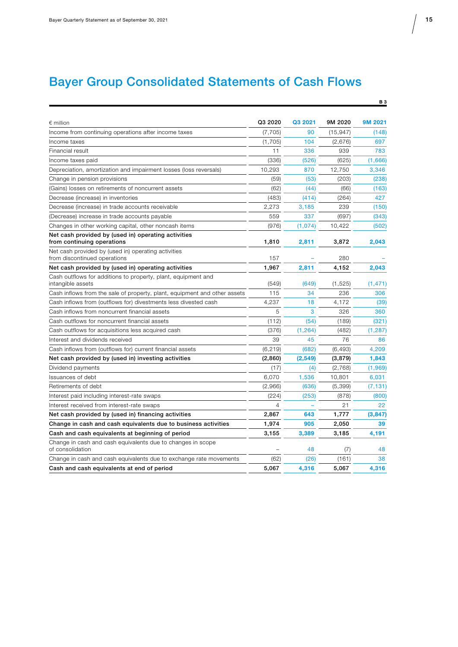# Bayer Group Consolidated Statements of Cash Flows

| $\epsilon$ million                                                                  | Q3 2020  | Q3 2021  | 9M 2020   | 9M 2021  |
|-------------------------------------------------------------------------------------|----------|----------|-----------|----------|
| Income from continuing operations after income taxes                                | (7, 705) | 90       | (15, 947) | (148)    |
| Income taxes                                                                        | (1,705)  | 104      | (2,676)   | 697      |
| Financial result                                                                    | 11       | 336      | 939       | 783      |
| Income taxes paid                                                                   | (336)    | (526)    | (625)     | (1,666)  |
| Depreciation, amortization and impairment losses (loss reversals)                   | 10,293   | 870      | 12,750    | 3,346    |
| Change in pension provisions                                                        | (59)     | (53)     | (203)     | (238)    |
| (Gains) losses on retirements of noncurrent assets                                  | (62)     | (44)     | (66)      | (163)    |
| Decrease (increase) in inventories                                                  | (483)    | (414)    | (264)     | 427      |
| Decrease (increase) in trade accounts receivable                                    | 2,273    | 3,185    | 239       | (150)    |
| (Decrease) increase in trade accounts payable                                       | 559      | 337      | (697)     | (343)    |
| Changes in other working capital, other noncash items                               | (976)    | (1,074)  | 10.422    | (502)    |
| Net cash provided by (used in) operating activities<br>from continuing operations   | 1,810    | 2,811    | 3,872     | 2,043    |
| Net cash provided by (used in) operating activities<br>from discontinued operations | 157      |          | 280       |          |
| Net cash provided by (used in) operating activities                                 | 1,967    | 2,811    | 4,152     | 2,043    |
| Cash outflows for additions to property, plant, equipment and<br>intangible assets  | (549)    | (649)    | (1,525)   | (1, 471) |
| Cash inflows from the sale of property, plant, equipment and other assets           | 115      | 34       | 236       | 306      |
| Cash inflows from (outflows for) divestments less divested cash                     | 4,237    | 18       | 4,172     | (39)     |
| Cash inflows from noncurrent financial assets                                       | 5        | 3        | 326       | 360      |
| Cash outflows for noncurrent financial assets                                       | (112)    | (54)     | (189)     | (321)    |
| Cash outflows for acquisitions less acquired cash                                   | (376)    | (1, 264) | (482)     | (1, 287) |
| Interest and dividends received                                                     | 39       | 45       | 76        | 86       |
| Cash inflows from (outflows for) current financial assets                           | (6, 219) | (682)    | (6, 493)  | 4.209    |
| Net cash provided by (used in) investing activities                                 | (2,860)  | (2,549)  | (3,879)   | 1,843    |
| Dividend payments                                                                   | (17)     | (4)      | (2,768)   | (1,969)  |
| Issuances of debt                                                                   | 6,070    | 1,536    | 10,801    | 6,031    |
| Retirements of debt                                                                 | (2,966)  | (636)    | (5, 399)  | (7, 131) |
| Interest paid including interest-rate swaps                                         | (224)    | (253)    | (878)     | (800)    |
| Interest received from interest-rate swaps                                          | 4        |          | 21        | 22       |
| Net cash provided by (used in) financing activities                                 | 2,867    | 643      | 1,777     | (3, 847) |
| Change in cash and cash equivalents due to business activities                      | 1,974    | 905      | 2,050     | 39       |
| Cash and cash equivalents at beginning of period                                    | 3,155    | 3.389    | 3,185     | 4,191    |
| Change in cash and cash equivalents due to changes in scope<br>of consolidation     |          | 48       | (7)       | 48       |
| Change in cash and cash equivalents due to exchange rate movements                  | (62)     | (26)     | (161)     | 38       |
| Cash and cash equivalents at end of period                                          | 5,067    | 4,316    | 5,067     | 4,316    |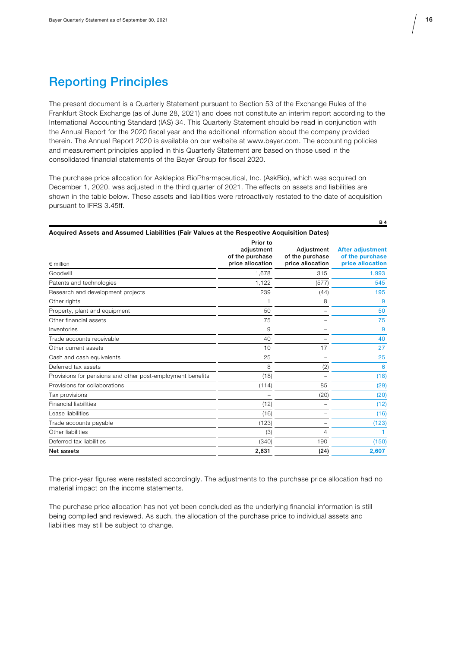# Reporting Principles

The present document is a Quarterly Statement pursuant to Section 53 of the Exchange Rules of the Frankfurt Stock Exchange (as of June 28, 2021) and does not constitute an interim report according to the International Accounting Standard (IAS) 34. This Quarterly Statement should be read in conjunction with the Annual Report for the 2020 fiscal year and the additional information about the company provided therein. The Annual Report 2020 is available on our website at www.bayer.com. The accounting policies and measurement principles applied in this Quarterly Statement are based on those used in the consolidated financial statements of the Bayer Group for fiscal 2020.

The purchase price allocation for Asklepios BioPharmaceutical, Inc. (AskBio), which was acquired on December 1, 2020, was adjusted in the third quarter of 2021. The effects on assets and liabilities are shown in the table below. These assets and liabilities were retroactively restated to the date of acquisition pursuant to IFRS 3.45ff.

| Acquired Assets and Assumed Liabilities (Fair Values at the Respective Acquisition Dates) |  |
|-------------------------------------------------------------------------------------------|--|

| $\epsilon$ million                                         | Prior to<br>adjustment<br>of the purchase<br>price allocation | Adjustment<br>of the purchase<br>price allocation | <b>After adjustment</b><br>of the purchase<br>price allocation |
|------------------------------------------------------------|---------------------------------------------------------------|---------------------------------------------------|----------------------------------------------------------------|
| Goodwill                                                   | 1,678                                                         | 315                                               | 1,993                                                          |
| Patents and technologies                                   | 1,122                                                         | (577)                                             | 545                                                            |
| Research and development projects                          | 239                                                           | (44)                                              | 195                                                            |
| Other rights                                               |                                                               | 8                                                 | 9                                                              |
| Property, plant and equipment                              | 50                                                            |                                                   | 50                                                             |
| Other financial assets                                     | 75                                                            |                                                   | 75                                                             |
| Inventories                                                | 9                                                             |                                                   | 9                                                              |
| Trade accounts receivable                                  | 40                                                            |                                                   | 40                                                             |
| Other current assets                                       | 10                                                            | 17                                                | 27                                                             |
| Cash and cash equivalents                                  | 25                                                            |                                                   | 25                                                             |
| Deferred tax assets                                        | 8                                                             | (2)                                               | 6                                                              |
| Provisions for pensions and other post-employment benefits | (18)                                                          |                                                   | (18)                                                           |
| Provisions for collaborations                              | (114)                                                         | 85                                                | (29)                                                           |
| Tax provisions                                             |                                                               | (20)                                              | (20)                                                           |
| <b>Financial liabilities</b>                               | (12)                                                          |                                                   | (12)                                                           |
| Lease liabilities                                          | (16)                                                          |                                                   | (16)                                                           |
| Trade accounts payable                                     | (123)                                                         |                                                   | (123)                                                          |
| Other liabilities                                          | (3)                                                           | 4                                                 |                                                                |
| Deferred tax liabilities                                   | (340)                                                         | 190                                               | (150)                                                          |
| Net assets                                                 | 2,631                                                         | (24)                                              | 2,607                                                          |

The prior-year figures were restated accordingly. The adjustments to the purchase price allocation had no material impact on the income statements.

The purchase price allocation has not yet been concluded as the underlying financial information is still being compiled and reviewed. As such, the allocation of the purchase price to individual assets and liabilities may still be subject to change.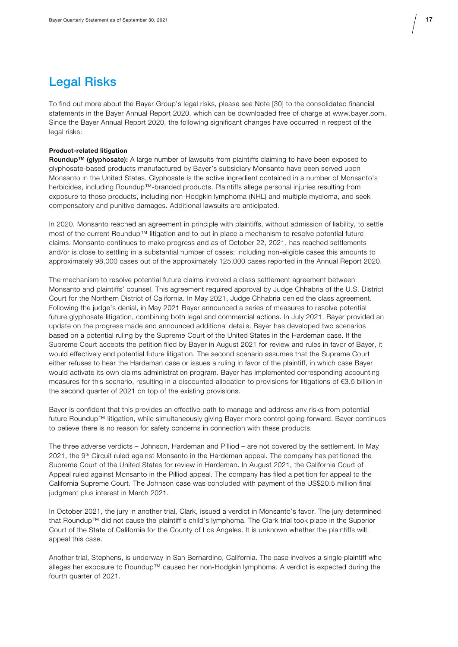# Legal Risks

To find out more about the Bayer Group's legal risks, please see Note [30] to the consolidated financial statements in the Bayer Annual Report 2020, which can be downloaded free of charge at www.bayer.com. Since the Bayer Annual Report 2020, the following significant changes have occurred in respect of the legal risks:

#### **Product-related litigation**

Roundup™ (glyphosate): A large number of lawsuits from plaintiffs claiming to have been exposed to glyphosate-based products manufactured by Bayer's subsidiary Monsanto have been served upon Monsanto in the United States. Glyphosate is the active ingredient contained in a number of Monsanto's herbicides, including Roundup™-branded products. Plaintiffs allege personal injuries resulting from exposure to those products, including non-Hodgkin lymphoma (NHL) and multiple myeloma, and seek compensatory and punitive damages. Additional lawsuits are anticipated.

In 2020, Monsanto reached an agreement in principle with plaintiffs, without admission of liability, to settle most of the current Roundup™ litigation and to put in place a mechanism to resolve potential future claims. Monsanto continues to make progress and as of October 22, 2021, has reached settlements and/or is close to settling in a substantial number of cases; including non-eligible cases this amounts to approximately 98,000 cases out of the approximately 125,000 cases reported in the Annual Report 2020.

The mechanism to resolve potential future claims involved a class settlement agreement between Monsanto and plaintiffs' counsel. This agreement required approval by Judge Chhabria of the U.S. District Court for the Northern District of California. In May 2021, Judge Chhabria denied the class agreement. Following the judge's denial, in May 2021 Bayer announced a series of measures to resolve potential future glyphosate litigation, combining both legal and commercial actions. In July 2021, Bayer provided an update on the progress made and announced additional details. Bayer has developed two scenarios based on a potential ruling by the Supreme Court of the United States in the Hardeman case. If the Supreme Court accepts the petition filed by Bayer in August 2021 for review and rules in favor of Bayer, it would effectively end potential future litigation. The second scenario assumes that the Supreme Court either refuses to hear the Hardeman case or issues a ruling in favor of the plaintiff, in which case Bayer would activate its own claims administration program. Bayer has implemented corresponding accounting measures for this scenario, resulting in a discounted allocation to provisions for litigations of €3.5 billion in the second quarter of 2021 on top of the existing provisions.

Bayer is confident that this provides an effective path to manage and address any risks from potential future Roundup™ litigation, while simultaneously giving Bayer more control going forward. Bayer continues to believe there is no reason for safety concerns in connection with these products.

The three adverse verdicts – Johnson, Hardeman and Pilliod – are not covered by the settlement. In May 2021, the 9<sup>th</sup> Circuit ruled against Monsanto in the Hardeman appeal. The company has petitioned the Supreme Court of the United States for review in Hardeman. In August 2021, the California Court of Appeal ruled against Monsanto in the Pilliod appeal. The company has filed a petition for appeal to the California Supreme Court. The Johnson case was concluded with payment of the US\$20.5 million final judgment plus interest in March 2021.

In October 2021, the jury in another trial, Clark, issued a verdict in Monsanto's favor. The jury determined that Roundup™ did not cause the plaintiff's child's lymphoma. The Clark trial took place in the Superior Court of the State of California for the County of Los Angeles. It is unknown whether the plaintiffs will appeal this case.

Another trial, Stephens, is underway in San Bernardino, California. The case involves a single plaintiff who alleges her exposure to Roundup™ caused her non-Hodgkin lymphoma. A verdict is expected during the fourth quarter of 2021.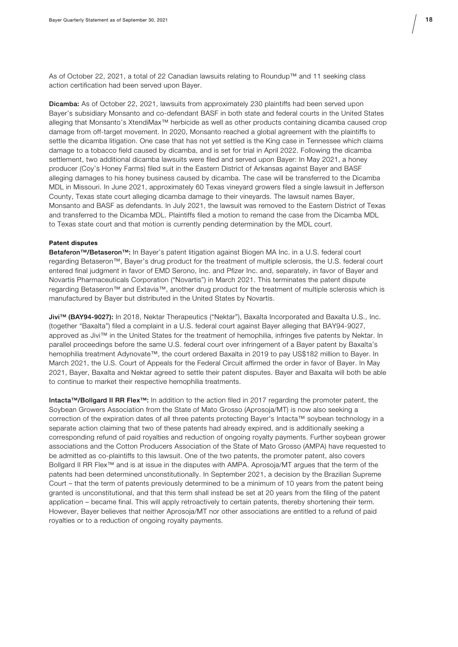As of October 22, 2021, a total of 22 Canadian lawsuits relating to Roundup™ and 11 seeking class action certification had been served upon Bayer.

Dicamba: As of October 22, 2021, lawsuits from approximately 230 plaintiffs had been served upon Bayer's subsidiary Monsanto and co-defendant BASF in both state and federal courts in the United States alleging that Monsanto's XtendiMax™ herbicide as well as other products containing dicamba caused crop damage from off-target movement. In 2020, Monsanto reached a global agreement with the plaintiffs to settle the dicamba litigation. One case that has not yet settled is the King case in Tennessee which claims damage to a tobacco field caused by dicamba, and is set for trial in April 2022. Following the dicamba settlement, two additional dicamba lawsuits were filed and served upon Bayer: In May 2021, a honey producer (Coy's Honey Farms) filed suit in the Eastern District of Arkansas against Bayer and BASF alleging damages to his honey business caused by dicamba. The case will be transferred to the Dicamba MDL in Missouri. In June 2021, approximately 60 Texas vineyard growers filed a single lawsuit in Jefferson County, Texas state court alleging dicamba damage to their vineyards. The lawsuit names Bayer, Monsanto and BASF as defendants. In July 2021, the lawsuit was removed to the Eastern District of Texas and transferred to the Dicamba MDL. Plaintiffs filed a motion to remand the case from the Dicamba MDL to Texas state court and that motion is currently pending determination by the MDL court.

#### **Patent disputes**

Betaferon™/Betaseron™: In Bayer's patent litigation against Biogen MA Inc. in a U.S. federal court regarding Betaseron™, Bayer's drug product for the treatment of multiple sclerosis, the U.S. federal court entered final judgment in favor of EMD Serono, Inc. and Pfizer Inc. and, separately, in favor of Bayer and Novartis Pharmaceuticals Corporation ("Novartis") in March 2021. This terminates the patent dispute regarding Betaseron™ and Extavia™, another drug product for the treatment of multiple sclerosis which is manufactured by Bayer but distributed in the United States by Novartis.

Jivi™ (BAY94-9027): In 2018, Nektar Therapeutics ("Nektar"), Baxalta Incorporated and Baxalta U.S., Inc. (together "Baxalta") filed a complaint in a U.S. federal court against Bayer alleging that BAY94-9027, approved as Jivi™ in the United States for the treatment of hemophilia, infringes five patents by Nektar. In parallel proceedings before the same U.S. federal court over infringement of a Bayer patent by Baxalta's hemophilia treatment Adynovate™, the court ordered Baxalta in 2019 to pay US\$182 million to Bayer. In March 2021, the U.S. Court of Appeals for the Federal Circuit affirmed the order in favor of Bayer. In May 2021, Bayer, Baxalta and Nektar agreed to settle their patent disputes. Bayer and Baxalta will both be able to continue to market their respective hemophilia treatments.

Intacta™/Bollgard II RR Flex™: In addition to the action filed in 2017 regarding the promoter patent, the Soybean Growers Association from the State of Mato Grosso (Aprosoja/MT) is now also seeking a correction of the expiration dates of all three patents protecting Bayer's Intacta™ soybean technology in a separate action claiming that two of these patents had already expired, and is additionally seeking a corresponding refund of paid royalties and reduction of ongoing royalty payments. Further soybean grower associations and the Cotton Producers Association of the State of Mato Grosso (AMPA) have requested to be admitted as co-plaintiffs to this lawsuit. One of the two patents, the promoter patent, also covers Bollgard II RR Flex™ and is at issue in the disputes with AMPA. Aprosoja/MT argues that the term of the patents had been determined unconstitutionally. In September 2021, a decision by the Brazilian Supreme Court – that the term of patents previously determined to be a minimum of 10 years from the patent being granted is unconstitutional, and that this term shall instead be set at 20 years from the filing of the patent application – became final. This will apply retroactively to certain patents, thereby shortening their term. However, Bayer believes that neither Aprosoja/MT nor other associations are entitled to a refund of paid royalties or to a reduction of ongoing royalty payments.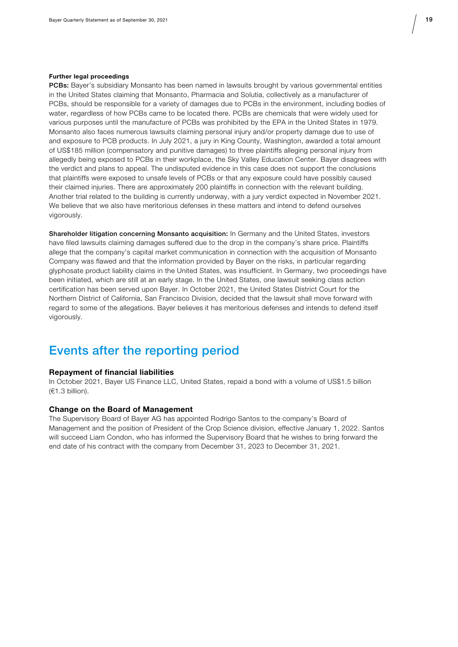#### **Further legal proceedings**

PCBs: Bayer's subsidiary Monsanto has been named in lawsuits brought by various governmental entities in the United States claiming that Monsanto, Pharmacia and Solutia, collectively as a manufacturer of PCBs, should be responsible for a variety of damages due to PCBs in the environment, including bodies of water, regardless of how PCBs came to be located there. PCBs are chemicals that were widely used for various purposes until the manufacture of PCBs was prohibited by the EPA in the United States in 1979. Monsanto also faces numerous lawsuits claiming personal injury and/or property damage due to use of and exposure to PCB products. In July 2021, a jury in King County, Washington, awarded a total amount of US\$185 million (compensatory and punitive damages) to three plaintiffs alleging personal injury from allegedly being exposed to PCBs in their workplace, the Sky Valley Education Center. Bayer disagrees with the verdict and plans to appeal. The undisputed evidence in this case does not support the conclusions that plaintiffs were exposed to unsafe levels of PCBs or that any exposure could have possibly caused their claimed injuries. There are approximately 200 plaintiffs in connection with the relevant building. Another trial related to the building is currently underway, with a jury verdict expected in November 2021. We believe that we also have meritorious defenses in these matters and intend to defend ourselves vigorously.

Shareholder litigation concerning Monsanto acquisition: In Germany and the United States, investors have filed lawsuits claiming damages suffered due to the drop in the company's share price. Plaintiffs allege that the company's capital market communication in connection with the acquisition of Monsanto Company was flawed and that the information provided by Bayer on the risks, in particular regarding glyphosate product liability claims in the United States, was insufficient. In Germany, two proceedings have been initiated, which are still at an early stage. In the United States, one lawsuit seeking class action certification has been served upon Bayer. In October 2021, the United States District Court for the Northern District of California, San Francisco Division, decided that the lawsuit shall move forward with regard to some of the allegations. Bayer believes it has meritorious defenses and intends to defend itself vigorously.

## Events after the reporting period

#### **Repayment of financial liabilities**

In October 2021, Bayer US Finance LLC, United States, repaid a bond with a volume of US\$1.5 billion (€1.3 billion).

### **Change on the Board of Management**

The Supervisory Board of Bayer AG has appointed Rodrigo Santos to the company's Board of Management and the position of President of the Crop Science division, effective January 1, 2022. Santos will succeed Liam Condon, who has informed the Supervisory Board that he wishes to bring forward the end date of his contract with the company from December 31, 2023 to December 31, 2021.